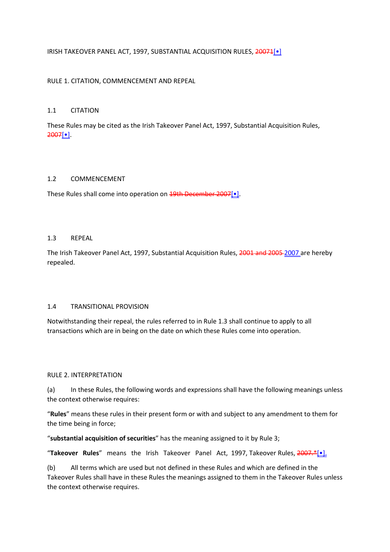### IRISH TAKEOVER PANEL ACT, 1997, SUBSTANTIAL ACQUISITION RULES, 20071[.]

### RULE 1. CITATION, COMMENCEMENT AND REPEAL

#### 1.1 CITATION

These Rules may be cited as the Irish Takeover Panel Act, 1997, Substantial Acquisition Rules, 2007[•].

#### 1.2 COMMENCEMENT

These Rules shall come into operation on 19th December 2007[.]

#### 1.3 REPEAL

The Irish Takeover Panel Act, 1997, Substantial Acquisition Rules, 2001 and 2005 2007 are hereby repealed.

### 1.4 TRANSITIONAL PROVISION

Notwithstanding their repeal, the rules referred to in Rule 1.3 shall continue to apply to all transactions which are in being on the date on which these Rules come into operation.

#### RULE 2. INTERPRETATION

(a) In these Rules, the following words and expressions shall have the following meanings unless the context otherwise requires:

"**Rules**" means these rules in their present form or with and subject to any amendment to them for the time being in force;

"**substantial acquisition of securities**" has the meaning assigned to it by Rule 3;

"**Takeover Rules**" means the Irish Takeover Panel Act, 1997, Takeover Rules, 2007.\*[•].

(b) All terms which are used but not defined in these Rules and which are defined in the Takeover Rules shall have in these Rules the meanings assigned to them in the Takeover Rules unless the context otherwise requires.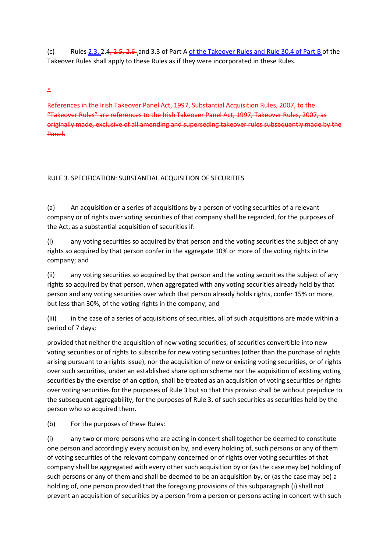(c) Rules  $2.3, 2.4, 2.5, 2.6$  and 3.3 of Part A of the Takeover Rules and Rule 30.4 of Part B of the Takeover Rules shall apply to these Rules as if they were incorporated in these Rules.

\*

References in the Irish Takeover Panel Act, 1997, Substantial Acquisition Rules, 2007, to the "Takeover Rules" are references to the Irish Takeover Panel Act, 1997, Takeover Rules, 2007, as originally made, exclusive of all amending and superseding takeover rules subsequently made by the Panel.

## RULE 3. SPECIFICATION: SUBSTANTIAL ACQUISITION OF SECURITIES

(a) An acquisition or a series of acquisitions by a person of voting securities of a relevant company or of rights over voting securities of that company shall be regarded, for the purposes of the Act, as a substantial acquisition of securities if:

(i) any voting securities so acquired by that person and the voting securities the subject of any rights so acquired by that person confer in the aggregate 10% or more of the voting rights in the company; and

(ii) any voting securities so acquired by that person and the voting securities the subject of any rights so acquired by that person, when aggregated with any voting securities already held by that person and any voting securities over which that person already holds rights, confer 15% or more, but less than 30%, of the voting rights in the company; and

(iii) in the case of a series of acquisitions of securities, all of such acquisitions are made within a period of 7 days;

provided that neither the acquisition of new voting securities, of securities convertible into new voting securities or of rights to subscribe for new voting securities (other than the purchase of rights arising pursuant to a rights issue), nor the acquisition of new or existing voting securities, or of rights over such securities, under an established share option scheme nor the acquisition of existing voting securities by the exercise of an option, shall be treated as an acquisition of voting securities or rights over voting securities for the purposes of Rule 3 but so that this proviso shall be without prejudice to the subsequent aggregability, for the purposes of Rule 3, of such securities as securities held by the person who so acquired them.

(b) For the purposes of these Rules:

(i) any two or more persons who are acting in concert shall together be deemed to constitute one person and accordingly every acquisition by, and every holding of, such persons or any of them of voting securities of the relevant company concerned or of rights over voting securities of that company shall be aggregated with every other such acquisition by or (as the case may be) holding of such persons or any of them and shall be deemed to be an acquisition by, or (as the case may be) a holding of, one person provided that the foregoing provisions of this subparagraph (i) shall not prevent an acquisition of securities by a person from a person or persons acting in concert with such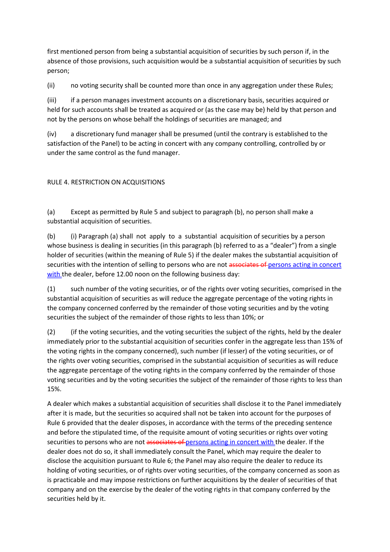first mentioned person from being a substantial acquisition of securities by such person if, in the absence of those provisions, such acquisition would be a substantial acquisition of securities by such person;

(ii) no voting security shall be counted more than once in any aggregation under these Rules;

(iii) if a person manages investment accounts on a discretionary basis, securities acquired or held for such accounts shall be treated as acquired or (as the case may be) held by that person and not by the persons on whose behalf the holdings of securities are managed; and

(iv) a discretionary fund manager shall be presumed (until the contrary is established to the satisfaction of the Panel) to be acting in concert with any company controlling, controlled by or under the same control as the fund manager.

# RULE 4. RESTRICTION ON ACQUISITIONS

(a) Except as permitted by Rule 5 and subject to paragraph (b), no person shall make a substantial acquisition of securities.

(b) (i) Paragraph (a) shall not apply to a substantial acquisition of securities by a person whose business is dealing in securities (in this paragraph (b) referred to as a "dealer") from a single holder of securities (within the meaning of Rule 5) if the dealer makes the substantial acquisition of securities with the intention of selling to persons who are not associates of persons acting in concert with the dealer, before 12.00 noon on the following business day:

(1) such number of the voting securities, or of the rights over voting securities, comprised in the substantial acquisition of securities as will reduce the aggregate percentage of the voting rights in the company concerned conferred by the remainder of those voting securities and by the voting securities the subject of the remainder of those rights to less than 10%; or

(2) (if the voting securities, and the voting securities the subject of the rights, held by the dealer immediately prior to the substantial acquisition of securities confer in the aggregate less than 15% of the voting rights in the company concerned), such number (if lesser) of the voting securities, or of the rights over voting securities, comprised in the substantial acquisition of securities as will reduce the aggregate percentage of the voting rights in the company conferred by the remainder of those voting securities and by the voting securities the subject of the remainder of those rights to less than 15%.

A dealer which makes a substantial acquisition of securities shall disclose it to the Panel immediately after it is made, but the securities so acquired shall not be taken into account for the purposes of Rule 6 provided that the dealer disposes, in accordance with the terms of the preceding sentence and before the stipulated time, of the requisite amount of voting securities or rights over voting securities to persons who are not associates of persons acting in concert with the dealer. If the dealer does not do so, it shall immediately consult the Panel, which may require the dealer to disclose the acquisition pursuant to Rule 6; the Panel may also require the dealer to reduce its holding of voting securities, or of rights over voting securities, of the company concerned as soon as is practicable and may impose restrictions on further acquisitions by the dealer of securities of that company and on the exercise by the dealer of the voting rights in that company conferred by the securities held by it.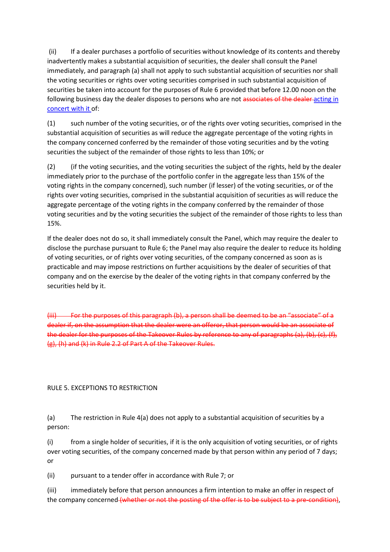(ii) If a dealer purchases a portfolio of securities without knowledge of its contents and thereby inadvertently makes a substantial acquisition of securities, the dealer shall consult the Panel immediately, and paragraph (a) shall not apply to such substantial acquisition of securities nor shall the voting securities or rights over voting securities comprised in such substantial acquisition of securities be taken into account for the purposes of Rule 6 provided that before 12.00 noon on the following business day the dealer disposes to persons who are not associates of the dealer-acting in concert with it of:

(1) such number of the voting securities, or of the rights over voting securities, comprised in the substantial acquisition of securities as will reduce the aggregate percentage of the voting rights in the company concerned conferred by the remainder of those voting securities and by the voting securities the subject of the remainder of those rights to less than 10%; or

(2) (if the voting securities, and the voting securities the subject of the rights, held by the dealer immediately prior to the purchase of the portfolio confer in the aggregate less than 15% of the voting rights in the company concerned), such number (if lesser) of the voting securities, or of the rights over voting securities, comprised in the substantial acquisition of securities as will reduce the aggregate percentage of the voting rights in the company conferred by the remainder of those voting securities and by the voting securities the subject of the remainder of those rights to less than 15%.

If the dealer does not do so, it shall immediately consult the Panel, which may require the dealer to disclose the purchase pursuant to Rule 6; the Panel may also require the dealer to reduce its holding of voting securities, or of rights over voting securities, of the company concerned as soon as is practicable and may impose restrictions on further acquisitions by the dealer of securities of that company and on the exercise by the dealer of the voting rights in that company conferred by the securities held by it.

(iii) For the purposes of this paragraph (b), a person shall be deemed to be an "associate" of a dealer if, on the assumption that the dealer were an offeror, that person would be an associate of the dealer for the purposes of the Takeover Rules by reference to any of paragraphs (a), (b), (c), (f), (g), (h) and (k) in Rule 2.2 of Part A of the Takeover Rules.

#### RULE 5. EXCEPTIONS TO RESTRICTION

(a) The restriction in Rule 4(a) does not apply to a substantial acquisition of securities by a person:

(i) from a single holder of securities, if it is the only acquisition of voting securities, or of rights over voting securities, of the company concerned made by that person within any period of 7 days; or

(ii) pursuant to a tender offer in accordance with Rule 7; or

(iii) immediately before that person announces a firm intention to make an offer in respect of the company concerned (whether or not the posting of the offer is to be subject to a pre-condition),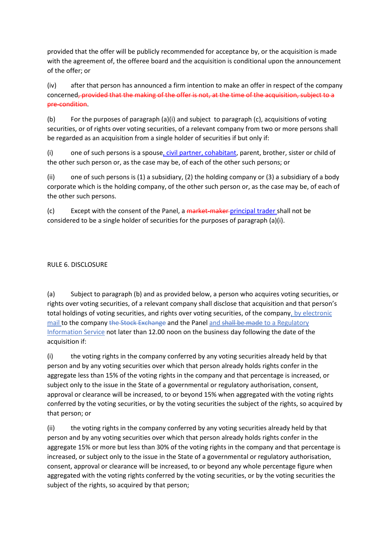provided that the offer will be publicly recommended for acceptance by, or the acquisition is made with the agreement of, the offeree board and the acquisition is conditional upon the announcement of the offer; or

(iv) after that person has announced a firm intention to make an offer in respect of the company concerned, provided that the making of the offer is not, at the time of the acquisition, subject to a pre-condition.

(b) For the purposes of paragraph (a)(i) and subject to paragraph (c), acquisitions of voting securities, or of rights over voting securities, of a relevant company from two or more persons shall be regarded as an acquisition from a single holder of securities if but only if:

(i) one of such persons is a spouse, civil partner, cohabitant, parent, brother, sister or child of the other such person or, as the case may be, of each of the other such persons; or

(ii) one of such persons is (1) a subsidiary, (2) the holding company or (3) a subsidiary of a body corporate which is the holding company, of the other such person or, as the case may be, of each of the other such persons.

(c) Except with the consent of the Panel, a market-maker-principal trader shall not be considered to be a single holder of securities for the purposes of paragraph (a)(i).

### RULE 6. DISCLOSURE

(a) Subject to paragraph (b) and as provided below, a person who acquires voting securities, or rights over voting securities, of a relevant company shall disclose that acquisition and that person's total holdings of voting securities, and rights over voting securities, of the company, by electronic mail to the company the Stock Exchange and the Panel and shall be made to a Regulatory Information Service not later than 12.00 noon on the business day following the date of the acquisition if:

(i) the voting rights in the company conferred by any voting securities already held by that person and by any voting securities over which that person already holds rights confer in the aggregate less than 15% of the voting rights in the company and that percentage is increased, or subject only to the issue in the State of a governmental or regulatory authorisation, consent, approval or clearance will be increased, to or beyond 15% when aggregated with the voting rights conferred by the voting securities, or by the voting securities the subject of the rights, so acquired by that person; or

(ii) the voting rights in the company conferred by any voting securities already held by that person and by any voting securities over which that person already holds rights confer in the aggregate 15% or more but less than 30% of the voting rights in the company and that percentage is increased, or subject only to the issue in the State of a governmental or regulatory authorisation, consent, approval or clearance will be increased, to or beyond any whole percentage figure when aggregated with the voting rights conferred by the voting securities, or by the voting securities the subject of the rights, so acquired by that person;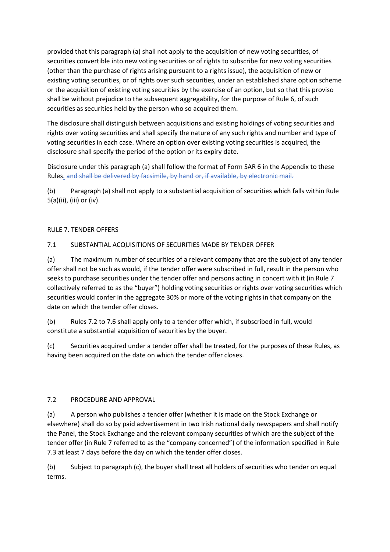provided that this paragraph (a) shall not apply to the acquisition of new voting securities, of securities convertible into new voting securities or of rights to subscribe for new voting securities (other than the purchase of rights arising pursuant to a rights issue), the acquisition of new or existing voting securities, or of rights over such securities, under an established share option scheme or the acquisition of existing voting securities by the exercise of an option, but so that this proviso shall be without prejudice to the subsequent aggregability, for the purpose of Rule 6, of such securities as securities held by the person who so acquired them.

The disclosure shall distinguish between acquisitions and existing holdings of voting securities and rights over voting securities and shall specify the nature of any such rights and number and type of voting securities in each case. Where an option over existing voting securities is acquired, the disclosure shall specify the period of the option or its expiry date.

Disclosure under this paragraph (a) shall follow the format of Form SAR 6 in the Appendix to these Rules. and shall be delivered by facsimile, by hand or, if available, by electronic mail.

(b) Paragraph (a) shall not apply to a substantial acquisition of securities which falls within Rule 5(a)(ii), (iii) or (iv).

## RULE 7. TENDER OFFERS

# 7.1 SUBSTANTIAL ACQUISITIONS OF SECURITIES MADE BY TENDER OFFER

(a) The maximum number of securities of a relevant company that are the subject of any tender offer shall not be such as would, if the tender offer were subscribed in full, result in the person who seeks to purchase securities under the tender offer and persons acting in concert with it (in Rule 7 collectively referred to as the "buyer") holding voting securities or rights over voting securities which securities would confer in the aggregate 30% or more of the voting rights in that company on the date on which the tender offer closes.

(b) Rules 7.2 to 7.6 shall apply only to a tender offer which, if subscribed in full, would constitute a substantial acquisition of securities by the buyer.

(c) Securities acquired under a tender offer shall be treated, for the purposes of these Rules, as having been acquired on the date on which the tender offer closes.

## 7.2 PROCEDURE AND APPROVAL

(a) A person who publishes a tender offer (whether it is made on the Stock Exchange or elsewhere) shall do so by paid advertisement in two Irish national daily newspapers and shall notify the Panel, the Stock Exchange and the relevant company securities of which are the subject of the tender offer (in Rule 7 referred to as the "company concerned") of the information specified in Rule 7.3 at least 7 days before the day on which the tender offer closes.

(b) Subject to paragraph (c), the buyer shall treat all holders of securities who tender on equal terms.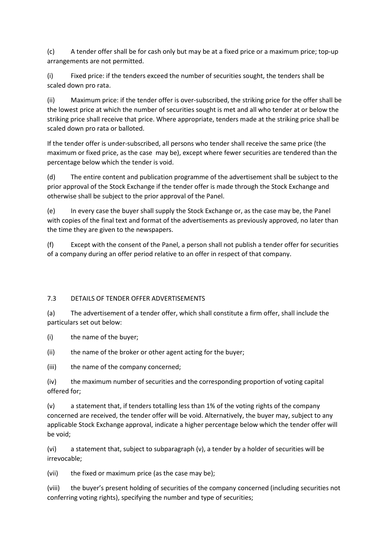(c) A tender offer shall be for cash only but may be at a fixed price or a maximum price; top-up arrangements are not permitted.

(i) Fixed price: if the tenders exceed the number of securities sought, the tenders shall be scaled down pro rata.

(ii) Maximum price: if the tender offer is over-subscribed, the striking price for the offer shall be the lowest price at which the number of securities sought is met and all who tender at or below the striking price shall receive that price. Where appropriate, tenders made at the striking price shall be scaled down pro rata or balloted.

If the tender offer is under-subscribed, all persons who tender shall receive the same price (the maximum or fixed price, as the case may be), except where fewer securities are tendered than the percentage below which the tender is void.

(d) The entire content and publication programme of the advertisement shall be subject to the prior approval of the Stock Exchange if the tender offer is made through the Stock Exchange and otherwise shall be subject to the prior approval of the Panel.

(e) In every case the buyer shall supply the Stock Exchange or, as the case may be, the Panel with copies of the final text and format of the advertisements as previously approved, no later than the time they are given to the newspapers.

(f) Except with the consent of the Panel, a person shall not publish a tender offer for securities of a company during an offer period relative to an offer in respect of that company.

## 7.3 DETAILS OF TENDER OFFER ADVERTISEMENTS

(a) The advertisement of a tender offer, which shall constitute a firm offer, shall include the particulars set out below:

(i) the name of the buyer;

(ii) the name of the broker or other agent acting for the buyer;

(iii) the name of the company concerned;

(iv) the maximum number of securities and the corresponding proportion of voting capital offered for;

(v) a statement that, if tenders totalling less than 1% of the voting rights of the company concerned are received, the tender offer will be void. Alternatively, the buyer may, subject to any applicable Stock Exchange approval, indicate a higher percentage below which the tender offer will be void;

(vi) a statement that, subject to subparagraph (v), a tender by a holder of securities will be irrevocable;

(vii) the fixed or maximum price (as the case may be);

(viii) the buyer's present holding of securities of the company concerned (including securities not conferring voting rights), specifying the number and type of securities;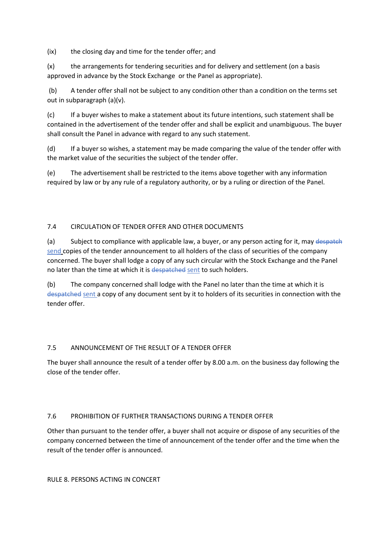(ix) the closing day and time for the tender offer; and

(x) the arrangements for tendering securities and for delivery and settlement (on a basis approved in advance by the Stock Exchange or the Panel as appropriate).

 (b) A tender offer shall not be subject to any condition other than a condition on the terms set out in subparagraph (a)(v).

(c) If a buyer wishes to make a statement about its future intentions, such statement shall be contained in the advertisement of the tender offer and shall be explicit and unambiguous. The buyer shall consult the Panel in advance with regard to any such statement.

(d) If a buyer so wishes, a statement may be made comparing the value of the tender offer with the market value of the securities the subject of the tender offer.

(e) The advertisement shall be restricted to the items above together with any information required by law or by any rule of a regulatory authority, or by a ruling or direction of the Panel.

## 7.4 CIRCULATION OF TENDER OFFER AND OTHER DOCUMENTS

(a) Subject to compliance with applicable law, a buyer, or any person acting for it, may despatch send copies of the tender announcement to all holders of the class of securities of the company concerned. The buyer shall lodge a copy of any such circular with the Stock Exchange and the Panel no later than the time at which it is despatched sent to such holders.

(b) The company concerned shall lodge with the Panel no later than the time at which it is despatched sent a copy of any document sent by it to holders of its securities in connection with the tender offer.

## 7.5 ANNOUNCEMENT OF THE RESULT OF A TENDER OFFER

The buyer shall announce the result of a tender offer by 8.00 a.m. on the business day following the close of the tender offer.

## 7.6 PROHIBITION OF FURTHER TRANSACTIONS DURING A TENDER OFFER

Other than pursuant to the tender offer, a buyer shall not acquire or dispose of any securities of the company concerned between the time of announcement of the tender offer and the time when the result of the tender offer is announced.

RULE 8. PERSONS ACTING IN CONCERT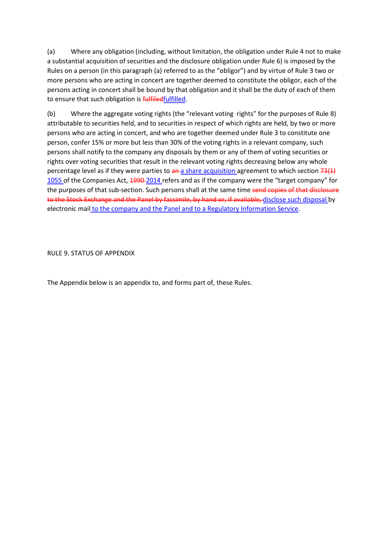(a) Where any obligation (including, without limitation, the obligation under Rule 4 not to make a substantial acquisition of securities and the disclosure obligation under Rule 6) is imposed by the Rules on a person (in this paragraph (a) referred to as the "obligor") and by virtue of Rule 3 two or more persons who are acting in concert are together deemed to constitute the obligor, each of the persons acting in concert shall be bound by that obligation and it shall be the duty of each of them to ensure that such obligation is fulfiledfulfilled.

(b) Where the aggregate voting rights (the "relevant voting rights" for the purposes of Rule 8) attributable to securities held, and to securities in respect of which rights are held, by two or more persons who are acting in concert, and who are together deemed under Rule 3 to constitute one person, confer 15% or more but less than 30% of the voting rights in a relevant company, such persons shall notify to the company any disposals by them or any of them of voting securities or rights over voting securities that result in the relevant voting rights decreasing below any whole percentage level as if they were parties to  $\frac{a_n}{a}$  share acquisition agreement to which section  $\frac{a_n}{b_n}$ 1055 of the Companies Act, 1990-2014 refers and as if the company were the "target company" for the purposes of that sub-section. Such persons shall at the same time send copies of that disclosure to the Stock Exchange and the Panel by facsimile, by hand or, if available, disclose such disposal by electronic mail to the company and the Panel and to a Regulatory Information Service.

RULE 9. STATUS OF APPENDIX

The Appendix below is an appendix to, and forms part of, these Rules.